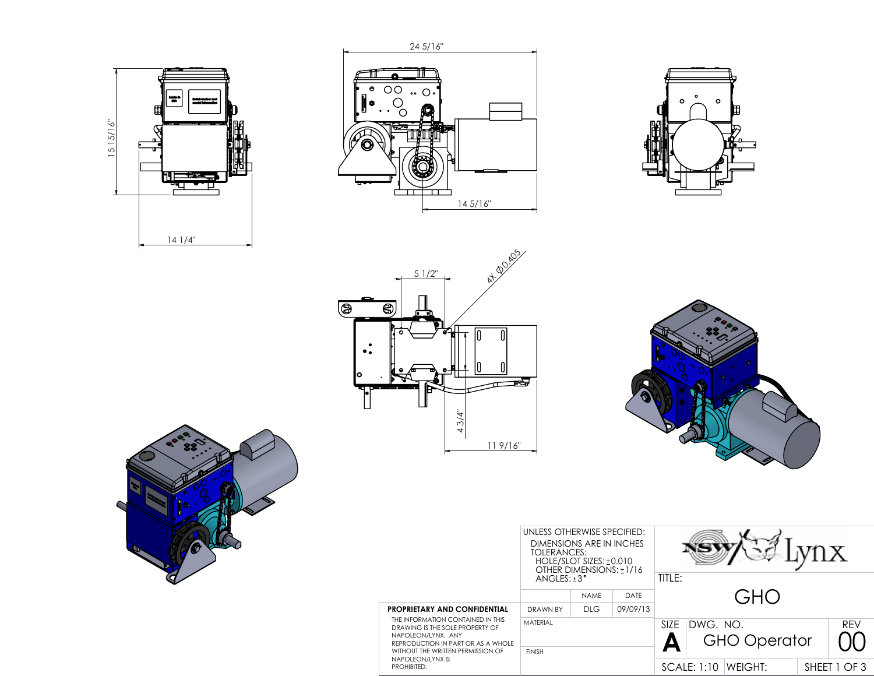











|                                                                                                                                                                                                                                                 | UNLESS OTHERWISE SPECIFIED:<br>DIMENSIONS ARE IN INCHES<br>TOLERANCES:<br>HOLE/SLOT SIZES: +0.010<br>OTHER DIMENSIONS: ±1/16<br>$ANGLES: +3^{\circ}$ |             |                               | TITLE:            |          |                     |              |            |
|-------------------------------------------------------------------------------------------------------------------------------------------------------------------------------------------------------------------------------------------------|------------------------------------------------------------------------------------------------------------------------------------------------------|-------------|-------------------------------|-------------------|----------|---------------------|--------------|------------|
|                                                                                                                                                                                                                                                 |                                                                                                                                                      | <b>NAMF</b> | DATE                          |                   |          |                     |              |            |
| <b>PROPRIETARY AND CONFIDENTIAL</b><br>THE INFORMATION CONTAINED IN THIS<br>DRAWING IS THE SOLE PROPERTY OF<br>NAPOLEON/LYNX, ANY<br>REPRODUCTION IN PART OR AS A WHOLE<br>WITHOUT THE WRITTEN PERMISSION OF<br>NAPOLEON/LYNX IS<br>PROHIBITED. | DRAWN BY                                                                                                                                             | DLG         | 09/09/13                      |                   |          |                     |              |            |
|                                                                                                                                                                                                                                                 | MATFRIAL<br><b>FINISH</b>                                                                                                                            |             |                               | SI <sub>7</sub> F | DWG. NO. | <b>GHO Operator</b> |              | <b>RFV</b> |
|                                                                                                                                                                                                                                                 |                                                                                                                                                      |             | <b>SCALE: 1:10</b><br>WEIGHT: |                   |          |                     | SHEET 1 OF 3 |            |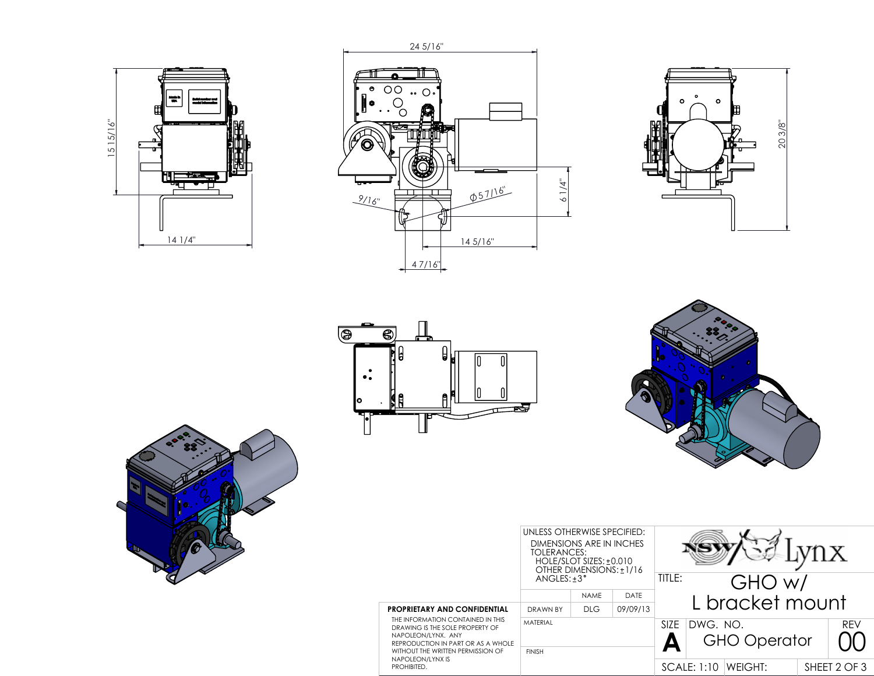











|                                                                                                                                                                                                                                          | UNLESS OTHERWISE SPECIFIED:<br>DIMENSIONS ARE IN INCHES<br>TOLERANCES:<br>HOLE/SLOT SIZES: +0.010<br>OTHER DIMENSIONS: ±1/16<br>$ANGLES: +3^{\circ}$ |             |                               | TITLE:<br>GHO w/  |                 |                     |  |            |  |  |
|------------------------------------------------------------------------------------------------------------------------------------------------------------------------------------------------------------------------------------------|------------------------------------------------------------------------------------------------------------------------------------------------------|-------------|-------------------------------|-------------------|-----------------|---------------------|--|------------|--|--|
|                                                                                                                                                                                                                                          |                                                                                                                                                      | <b>NAME</b> | DATE                          |                   | L bracket mount |                     |  |            |  |  |
| PROPRIETARY AND CONFIDENTIAL<br>THE INFORMATION CONTAINED IN THIS<br>DRAWING IS THE SOLE PROPERTY OF<br>NAPOLEON/LYNX, ANY<br>REPRODUCTION IN PART OR AS A WHOLE<br>WITHOUT THE WRITTEN PERMISSION OF<br>NAPOLEON/LYNX IS<br>PROHIBITED. | DRAWN BY                                                                                                                                             | <b>DLG</b>  | 09/09/13                      |                   |                 |                     |  |            |  |  |
|                                                                                                                                                                                                                                          | <b>MATFRIAL</b><br><b>FINISH</b>                                                                                                                     |             |                               | SI <sub>7</sub> F | DWG. NO.        | <b>GHO Operator</b> |  | <b>REV</b> |  |  |
|                                                                                                                                                                                                                                          |                                                                                                                                                      |             | <b>SCALE: 1:10</b><br>WEIGHT: |                   |                 | SHEET 2 OF 3        |  |            |  |  |